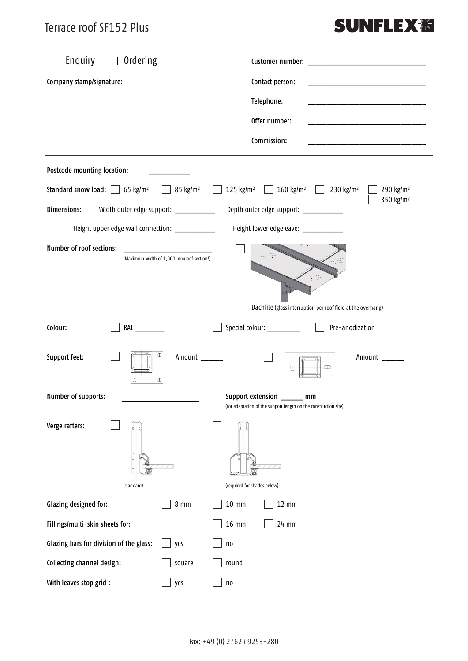### Terrace roof SF152 Plus

# **SUNFLEX<sup>%</sup>**

| Enquiry<br>Ordering                                                                                | Customer number:                                                                                                   |
|----------------------------------------------------------------------------------------------------|--------------------------------------------------------------------------------------------------------------------|
| Company stamp/signature:                                                                           | Contact person:<br>the control of the control of the control of the control of the control of                      |
|                                                                                                    | Telephone:                                                                                                         |
|                                                                                                    | Offer number:                                                                                                      |
|                                                                                                    | Commission:                                                                                                        |
| Postcode mounting location:                                                                        |                                                                                                                    |
| Standard snow load: $\boxed{\phantom{0}}$ 65 kg/m <sup>2</sup><br>$\boxed{ }$ 85 kg/m <sup>2</sup> | 125 kg/m <sup>2</sup> $\boxed{ }$ 160 kg/m <sup>2</sup> $\boxed{ }$ 230 kg/m <sup>2</sup><br>290 kg/m <sup>2</sup> |
| Dimensions:<br>Width outer edge support: ___________                                               | 350 kg/m <sup>2</sup><br>Depth outer edge support: ___________                                                     |
| Height upper edge wall connection: ____________                                                    | Height lower edge eave: ____________                                                                               |
| Number of roof sections:<br>(Maximum width of 1,000 mm/roof section!)                              |                                                                                                                    |
|                                                                                                    | Dachlite (glass interruption per roof field at the overhang)                                                       |
| Colour:<br>RAL                                                                                     | Pre-anodization<br>Special colour: __________                                                                      |
| Support feet:<br>Amount<br>$_{\oplus}$<br>⊕                                                        | Amount                                                                                                             |
| Number of supports:                                                                                | Support extension ______ mm<br>(for adaptation of the support length on the construction site)                     |
| Verge rafters:                                                                                     |                                                                                                                    |
| (standard)                                                                                         | (required for shades below)                                                                                        |
| Glazing designed for:<br>$8 \text{ mm}$                                                            | $10 \text{ mm}$<br>$12 \text{ mm}$                                                                                 |
| Fillings/multi-skin sheets for:                                                                    | $16 \text{ mm}$<br>24 mm                                                                                           |
| Glazing bars for division of the glass:<br>yes                                                     | n <sub>0</sub>                                                                                                     |
| Collecting channel design:<br>square                                                               | round                                                                                                              |
| With leaves stop grid :<br>yes                                                                     | n <sub>0</sub>                                                                                                     |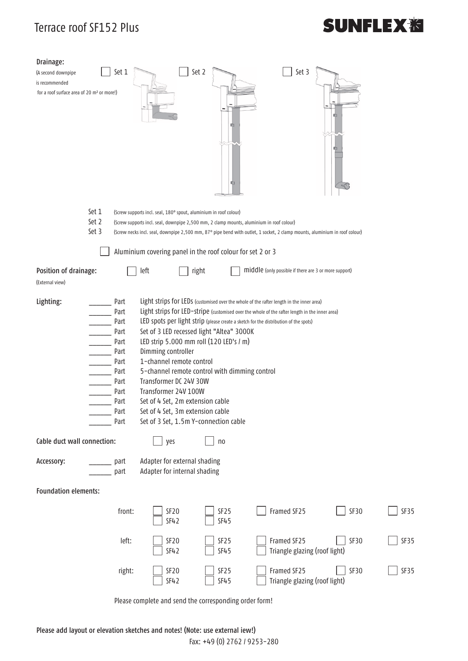## Terrace roof SF152 Plus

# **SUNFLEX<sub>泡</sub>**

| Drainage:<br>(A second downpipe<br>is recommended<br>for a roof surface area of 20 m <sup>2</sup> or more!) |                                                                                                        | Set 1                                                                                                                                             | Set 2                                                                                    | 咖<br>IQ I        | Set 3                                                                                                                      | 由           |      |  |
|-------------------------------------------------------------------------------------------------------------|--------------------------------------------------------------------------------------------------------|---------------------------------------------------------------------------------------------------------------------------------------------------|------------------------------------------------------------------------------------------|------------------|----------------------------------------------------------------------------------------------------------------------------|-------------|------|--|
|                                                                                                             | Set 1                                                                                                  |                                                                                                                                                   | (Screw supports incl. seal, 180° spout, aluminium in roof colour)                        |                  |                                                                                                                            |             |      |  |
|                                                                                                             | Set 2                                                                                                  |                                                                                                                                                   | (Screw supports incl. seal, downpipe 2,500 mm, 2 clamp mounts, aluminium in roof colour) |                  |                                                                                                                            |             |      |  |
|                                                                                                             | Set 3                                                                                                  |                                                                                                                                                   |                                                                                          |                  | (Screw necks incl. seal, downpipe 2,500 mm, 87° pipe bend with outlet, 1 socket, 2 clamp mounts, aluminium in roof colour) |             |      |  |
|                                                                                                             |                                                                                                        |                                                                                                                                                   | Aluminium covering panel in the roof colour for set 2 or 3                               |                  |                                                                                                                            |             |      |  |
| Position of drainage:                                                                                       |                                                                                                        |                                                                                                                                                   | left<br>right                                                                            |                  | middle (only possible if there are 3 or more support)                                                                      |             |      |  |
| (External view)                                                                                             |                                                                                                        |                                                                                                                                                   |                                                                                          |                  |                                                                                                                            |             |      |  |
|                                                                                                             |                                                                                                        |                                                                                                                                                   |                                                                                          |                  |                                                                                                                            |             |      |  |
| Lighting:                                                                                                   |                                                                                                        | Part                                                                                                                                              |                                                                                          |                  | Light strips for LEDs (customised over the whole of the rafter length in the inner area)                                   |             |      |  |
|                                                                                                             | Light strips for LED-stripe (customised over the whole of the rafter length in the inner area)<br>Part |                                                                                                                                                   |                                                                                          |                  |                                                                                                                            |             |      |  |
|                                                                                                             |                                                                                                        | LED spots per light strip (please create a sketch for the distribution of the spots)<br>Part<br>Set of 3 LED recessed light "Altea" 3000K<br>Part |                                                                                          |                  |                                                                                                                            |             |      |  |
|                                                                                                             |                                                                                                        |                                                                                                                                                   |                                                                                          |                  |                                                                                                                            |             |      |  |
|                                                                                                             |                                                                                                        | LED strip 5.000 mm roll (120 LED's / m)<br>Part                                                                                                   |                                                                                          |                  |                                                                                                                            |             |      |  |
|                                                                                                             |                                                                                                        | Dimming controller<br>Part                                                                                                                        |                                                                                          |                  |                                                                                                                            |             |      |  |
|                                                                                                             |                                                                                                        | 1-channel remote control<br>Part                                                                                                                  |                                                                                          |                  |                                                                                                                            |             |      |  |
|                                                                                                             |                                                                                                        | 5-channel remote control with dimming control<br>Part                                                                                             |                                                                                          |                  |                                                                                                                            |             |      |  |
|                                                                                                             |                                                                                                        | Transformer DC 24V 30W<br>Part                                                                                                                    |                                                                                          |                  |                                                                                                                            |             |      |  |
|                                                                                                             |                                                                                                        | Transformer 24V 100W<br>Part                                                                                                                      |                                                                                          |                  |                                                                                                                            |             |      |  |
|                                                                                                             |                                                                                                        | Set of 4 Set, 2m extension cable<br>Part                                                                                                          |                                                                                          |                  |                                                                                                                            |             |      |  |
|                                                                                                             |                                                                                                        | Part                                                                                                                                              | Set of 4 Set, 3m extension cable                                                         |                  |                                                                                                                            |             |      |  |
|                                                                                                             |                                                                                                        | Part                                                                                                                                              | Set of 3 Set, 1.5m Y-connection cable                                                    |                  |                                                                                                                            |             |      |  |
| Cable duct wall connection:                                                                                 |                                                                                                        |                                                                                                                                                   | yes                                                                                      | n <sub>0</sub>   |                                                                                                                            |             |      |  |
| Accessory:                                                                                                  |                                                                                                        | part                                                                                                                                              | Adapter for external shading                                                             |                  |                                                                                                                            |             |      |  |
|                                                                                                             |                                                                                                        | part                                                                                                                                              | Adapter for internal shading                                                             |                  |                                                                                                                            |             |      |  |
|                                                                                                             |                                                                                                        |                                                                                                                                                   |                                                                                          |                  |                                                                                                                            |             |      |  |
| <b>Foundation elements:</b>                                                                                 |                                                                                                        |                                                                                                                                                   |                                                                                          |                  |                                                                                                                            |             |      |  |
|                                                                                                             |                                                                                                        |                                                                                                                                                   |                                                                                          |                  |                                                                                                                            |             |      |  |
|                                                                                                             |                                                                                                        | front:                                                                                                                                            | SF <sub>20</sub>                                                                         | SF <sub>25</sub> | Framed SF25                                                                                                                | SF30        | SF35 |  |
|                                                                                                             |                                                                                                        |                                                                                                                                                   | <b>SF42</b>                                                                              | <b>SF45</b>      |                                                                                                                            |             |      |  |
|                                                                                                             |                                                                                                        |                                                                                                                                                   |                                                                                          |                  |                                                                                                                            |             |      |  |
|                                                                                                             |                                                                                                        | left:                                                                                                                                             | SF <sub>20</sub>                                                                         | SF <sub>25</sub> | Framed SF25                                                                                                                | <b>SF30</b> | SF35 |  |
|                                                                                                             |                                                                                                        |                                                                                                                                                   | <b>SF42</b>                                                                              | <b>SF45</b>      | Triangle glazing (roof light)                                                                                              |             |      |  |
|                                                                                                             |                                                                                                        |                                                                                                                                                   | SF <sub>20</sub>                                                                         | SF <sub>25</sub> | Framed SF25                                                                                                                | SF30        | SF35 |  |
|                                                                                                             |                                                                                                        | right:                                                                                                                                            | <b>SF42</b>                                                                              | <b>SF45</b>      | Triangle glazing (roof light)                                                                                              |             |      |  |
|                                                                                                             |                                                                                                        |                                                                                                                                                   |                                                                                          |                  |                                                                                                                            |             |      |  |

Please complete and send the corresponding order form!